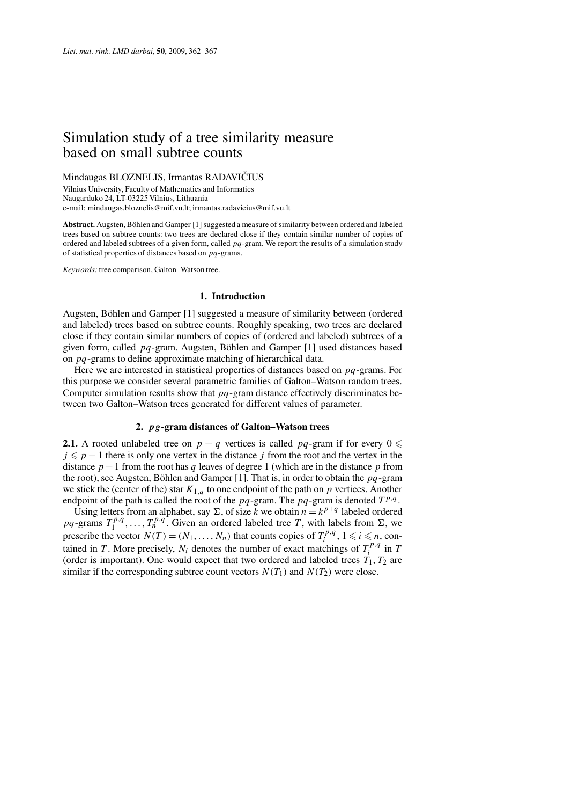# Simulation study of a tree similarity measure based on small subtree counts

Mindaugas BLOZNELIS, Irmantas RADAVIČIUS

Vilnius University, Faculty of Mathematics and Informatics Naugarduko 24, LT-03225 Vilnius, Lithuania e-mail: mindaugas.bloznelis@mif.vu.lt; irmantas.radavicius@mif.vu.lt

**Abstract.** Augsten, Böhlen and Gamper [1] suggested a measure of similarity between ordered and labeled trees based on subtree counts: two trees are declared close if they contain similar number of copies of ordered and labeled subtrees of a given form, called *pq*-gram. We report the results of a simulation study of statistical properties of distances based on *pq*-grams.

*Keywords:* tree comparison, Galton–Watson tree.

#### **1. Introduction**

Augsten, Böhlen and Gamper [1] suggested a measure of similarity between (ordered and labeled) trees based on subtree counts. Roughly speaking, two trees are declared close if they contain similar numbers of copies of (ordered and labeled) subtrees of a given form, called *pq*-gram. Augsten, Böhlen and Gamper [1] used distances based on *pq*-grams to define approximate matching of hierarchical data.

Here we are interested in statistical properties of distances based on *pq*-grams. For this purpose we consider several parametric families of Galton–Watson random trees. Computer simulation results show that *pq*-gram distance effectively discriminates between two Galton–Watson trees generated for different values of parameter.

# **2.** *pg***-gram distances of Galton–Watson trees**

**2.1.** A rooted unlabeled tree on  $p + q$  vertices is called  $pq$ -gram if for every  $0 \le$  $j \leq p - 1$  there is only one vertex in the distance *j* from the root and the vertex in the distance  $p-1$  from the root has q leaves of degree 1 (which are in the distance p from the root), see Augsten, Böhlen and Gamper [1]. That is, in order to obtain the *pq*-gram we stick the (center of the) star *K*1*,q* to one endpoint of the path on *p* vertices. Another endpoint of the path is called the root of the  $pq$ -gram. The  $pq$ -gram is denoted  $T^{p,q}$ .

Using letters from an alphabet, say  $\Sigma$ , of size *k* we obtain  $n = k^{p+q}$  labeled ordered  $pq$ -grams  $T_1^{p,q}, \ldots, T_n^{p,q}$ . Given an ordered labeled tree *T*, with labels from  $\Sigma$ , we prescribe the vector  $N(T) = (N_1, \ldots, N_n)$  that counts copies of  $T_i^{p,q}, 1 \le i \le n$ , contained in *T*. More precisely,  $N_i$  denotes the number of exact matchings of  $T_i^{p,q}$  in *T* (order is important). One would expect that two ordered and labeled trees  $T_1, T_2$  are similar if the corresponding subtree count vectors  $N(T_1)$  and  $N(T_2)$  were close.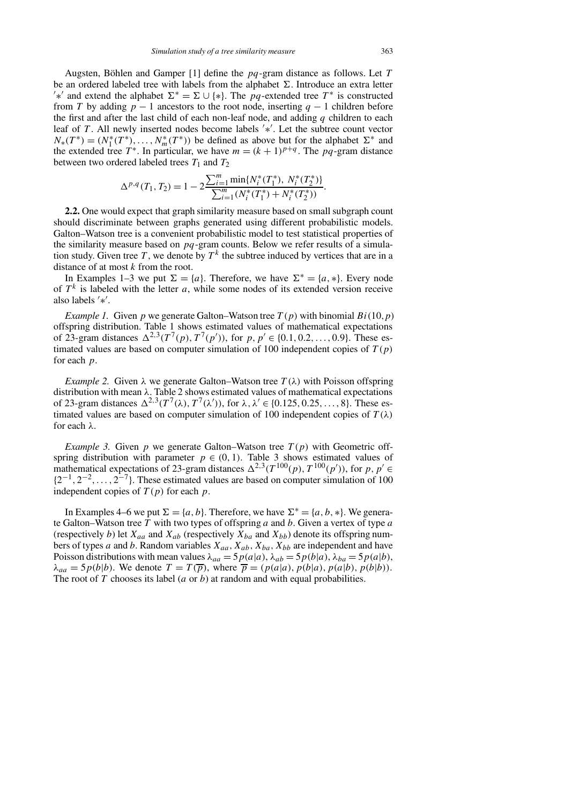Augsten, Böhlen and Gamper [1] define the *pq*-gram distance as follows. Let *T* be an ordered labeled tree with labels from the alphabet  $\Sigma$ . Introduce an extra letter  $\ell^*$  and extend the alphabet  $\Sigma^* = \Sigma \cup \{*\}$ . The *pq*-extended tree T<sup>\*</sup> is constructed from *T* by adding  $p - 1$  ancestors to the root node, inserting  $q - 1$  children before the first and after the last child of each non-leaf node, and adding *q* children to each leaf of *T*. All newly inserted nodes become labels '\*'. Let the subtree count vector  $N_*(T^*) = (N_1^*(T^*), \ldots, N_m^*(T^*))$  be defined as above but for the alphabet  $\Sigma^*$  and the extended tree  $T^*$ . In particular, we have  $m = (k + 1)^{p+q}$ . The pq-gram distance between two ordered labeled trees  $T_1$  and  $T_2$ 

$$
\Delta^{p,q}(T_1, T_2) = 1 - 2 \frac{\sum_{i=1}^{m} \min\{N_i^*(T_1^*), N_i^*(T_2^*)\}}{\sum_{i=1}^{m} (N_i^*(T_1^*) + N_i^*(T_2^*))}.
$$

**2.2.** One would expect that graph similarity measure based on small subgraph count should discriminate between graphs generated using different probabilistic models. Galton–Watson tree is a convenient probabilistic model to test statistical properties of the similarity measure based on *pq*-gram counts. Below we refer results of a simulation study. Given tree T, we denote by  $T^k$  the subtree induced by vertices that are in a distance of at most *k* from the root.

In Examples 1–3 we put  $\Sigma = \{a\}$ . Therefore, we have  $\Sigma^* = \{a, *\}$ . Every node of  $T<sup>k</sup>$  is labeled with the letter *a*, while some nodes of its extended version receive also labels ∗ .

*Example 1.* Given *p* we generate Galton–Watson tree  $T(p)$  with binomial  $Bi(10, p)$ offspring distribution. Table 1 shows estimated values of mathematical expectations of 23-gram distances  $\Delta^{2,3}(T^7(p), T^7(p'))$ , for  $p, p' \in \{0.1, 0.2, ..., 0.9\}$ . These estimated values are based on computer simulation of 100 independent copies of  $T(p)$ for each *p*.

*Example 2.* Given  $\lambda$  we generate Galton–Watson tree  $T(\lambda)$  with Poisson offspring distribution with mean *λ*. Table 2 shows estimated values of mathematical expectations of 23-gram distances  $\Delta^{2,3}(T^7(\lambda), T^7(\lambda'))$ , for  $\lambda, \lambda' \in \{0.125, 0.25, ..., 8\}$ . These estimated values are based on computer simulation of 100 independent copies of  $T(\lambda)$ for each *λ*.

*Example 3.* Given  $p$  we generate Galton–Watson tree  $T(p)$  with Geometric offspring distribution with parameter  $p \in (0, 1)$ . Table 3 shows estimated values of mathematical expectations of 23-gram distances  $\Delta^{2,3}(T^{100}(p), T^{100}(p'))$ , for  $p, p' \in$ {2−1*,* 2−2*,...,* 2−7}. These estimated values are based on computer simulation of 100 independent copies of  $T(p)$  for each  $p$ .

In Examples 4–6 we put  $\Sigma = \{a, b\}$ . Therefore, we have  $\Sigma^* = \{a, b, *\}$ . We generate Galton–Watson tree *T* with two types of offspring *a* and *b*. Given a vertex of type *a* (respectively *b*) let  $X_{aa}$  and  $X_{ab}$  (respectively  $X_{ba}$  and  $X_{bb}$ ) denote its offspring numbers of types *a* and *b*. Random variables  $X_{aa}$ ,  $X_{ab}$ ,  $X_{ba}$ ,  $X_{bb}$  are independent and have Poisson distributions with mean values  $\lambda_{aa} = 5p(a|a)$ ,  $\lambda_{ab} = 5p(b|a)$ ,  $\lambda_{ba} = 5p(a|b)$ ,  $\lambda_{aa} = 5p(b|b)$ . We denote  $T = T(\overline{p})$ , where  $\overline{p} = (p(a|a), p(b|a), p(a|b), p(b|b))$ . The root of *T* chooses its label (*a* or *b*) at random and with equal probabilities.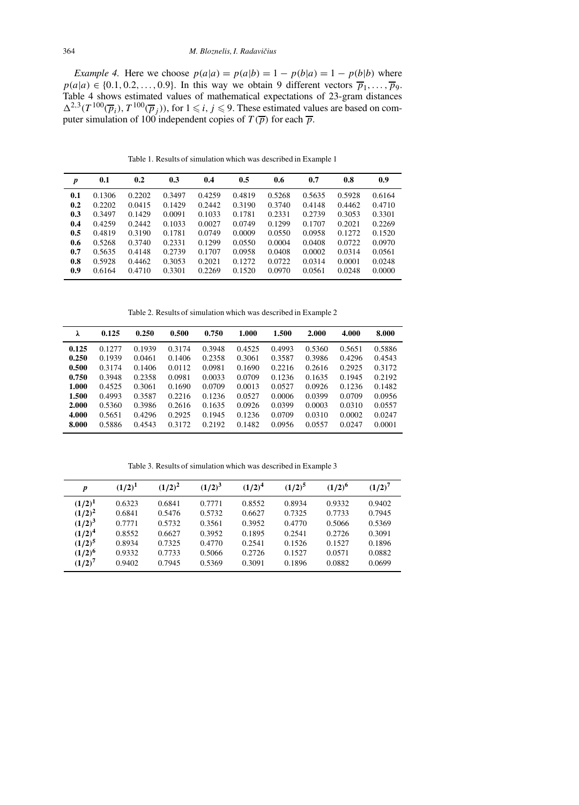*Example 4.* Here we choose  $p(a|a) = p(a|b) = 1 - p(b|a) = 1 - p(b|b)$  where  $p(a|a) \in \{0.1, 0.2, \ldots, 0.9\}$ . In this way we obtain 9 different vectors  $\overline{p}_1, \ldots, \overline{p}_9$ . Table 4 shows estimated values of mathematical expectations of 23-gram distances  $\Delta^{2,3}(T^{100}(\overline{p}_i), T^{100}(\overline{p}_j))$ , for  $1 \leq i, j \leq 9$ . These estimated values are based on computer simulation of 100 independent copies of  $T(\overline{p})$  for each  $\overline{p}$ .

Table 1. Results of simulation which was described in Example 1

| $\boldsymbol{p}$ | 0.1    | 0.2    | 0.3    | 0.4    | 0.5    | 0.6    | 0.7    | 0.8    | 0.9    |
|------------------|--------|--------|--------|--------|--------|--------|--------|--------|--------|
| 0.1              | 0.1306 | 0.2202 | 0.3497 | 0.4259 | 0.4819 | 0.5268 | 0.5635 | 0.5928 | 0.6164 |
| 0.2              | 0.2202 | 0.0415 | 0.1429 | 0.2442 | 0.3190 | 0.3740 | 0.4148 | 0.4462 | 0.4710 |
| 0.3              | 0.3497 | 0.1429 | 0.0091 | 0.1033 | 0.1781 | 0.2331 | 0.2739 | 0.3053 | 0.3301 |
| 0.4              | 0.4259 | 0.2442 | 0.1033 | 0.0027 | 0.0749 | 0.1299 | 0.1707 | 0.2021 | 0.2269 |
| 0.5              | 0.4819 | 0.3190 | 0.1781 | 0.0749 | 0.0009 | 0.0550 | 0.0958 | 0.1272 | 0.1520 |
| 0.6              | 0.5268 | 0.3740 | 0.2331 | 0.1299 | 0.0550 | 0.0004 | 0.0408 | 0.0722 | 0.0970 |
| 0.7              | 0.5635 | 0.4148 | 0.2739 | 0.1707 | 0.0958 | 0.0408 | 0.0002 | 0.0314 | 0.0561 |
| 0.8              | 0.5928 | 0.4462 | 0.3053 | 0.2021 | 0.1272 | 0.0722 | 0.0314 | 0.0001 | 0.0248 |
| 0.9              | 0.6164 | 0.4710 | 0.3301 | 0.2269 | 0.1520 | 0.0970 | 0.0561 | 0.0248 | 0.0000 |

Table 2. Results of simulation which was described in Example 2

| λ     | 0.125  | 0.250  | 0.500  | 0.750  | 1.000  | 1.500  | 2.000  | 4.000  | 8.000  |
|-------|--------|--------|--------|--------|--------|--------|--------|--------|--------|
| 0.125 | 0.1277 | 0.1939 | 0.3174 | 0.3948 | 0.4525 | 0.4993 | 0.5360 | 0.5651 | 0.5886 |
| 0.250 | 0.1939 | 0.0461 | 0.1406 | 0.2358 | 0.3061 | 0.3587 | 0.3986 | 0.4296 | 0.4543 |
| 0.500 | 0.3174 | 0.1406 | 0.0112 | 0.0981 | 0.1690 | 0.2216 | 0.2616 | 0.2925 | 0.3172 |
| 0.750 | 0.3948 | 0.2358 | 0.0981 | 0.0033 | 0.0709 | 0.1236 | 0.1635 | 0.1945 | 0.2192 |
| 1.000 | 0.4525 | 0.3061 | 0.1690 | 0.0709 | 0.0013 | 0.0527 | 0.0926 | 0.1236 | 0.1482 |
| 1.500 | 0.4993 | 0.3587 | 0.2216 | 0.1236 | 0.0527 | 0.0006 | 0.0399 | 0.0709 | 0.0956 |
| 2.000 | 0.5360 | 0.3986 | 0.2616 | 0.1635 | 0.0926 | 0.0399 | 0.0003 | 0.0310 | 0.0557 |
| 4.000 | 0.5651 | 0.4296 | 0.2925 | 0.1945 | 0.1236 | 0.0709 | 0.0310 | 0.0002 | 0.0247 |
| 8.000 | 0.5886 | 0.4543 | 0.3172 | 0.2192 | 0.1482 | 0.0956 | 0.0557 | 0.0247 | 0.0001 |

Table 3. Results of simulation which was described in Example 3

| p           | $(1/2)^{1}$ | $(1/2)^2$ | $(1/2)^3$ | $(1/2)^4$ | $(1/2)^5$ | $(1/2)^6$ | $(1/2)^7$ |
|-------------|-------------|-----------|-----------|-----------|-----------|-----------|-----------|
| $(1/2)^{1}$ | 0.6323      | 0.6841    | 0.7771    | 0.8552    | 0.8934    | 0.9332    | 0.9402    |
| $(1/2)^2$   | 0.6841      | 0.5476    | 0.5732    | 0.6627    | 0.7325    | 0.7733    | 0.7945    |
| $(1/2)^3$   | 0.7771      | 0.5732    | 0.3561    | 0.3952    | 0.4770    | 0.5066    | 0.5369    |
| $(1/2)^4$   | 0.8552      | 0.6627    | 0.3952    | 0.1895    | 0.2541    | 0.2726    | 0.3091    |
| $(1/2)^5$   | 0.8934      | 0.7325    | 0.4770    | 0.2541    | 0.1526    | 0.1527    | 0.1896    |
| $(1/2)^6$   | 0.9332      | 0.7733    | 0.5066    | 0.2726    | 0.1527    | 0.0571    | 0.0882    |
| $(1/2)^7$   | 0.9402      | 0.7945    | 0.5369    | 0.3091    | 0.1896    | 0.0882    | 0.0699    |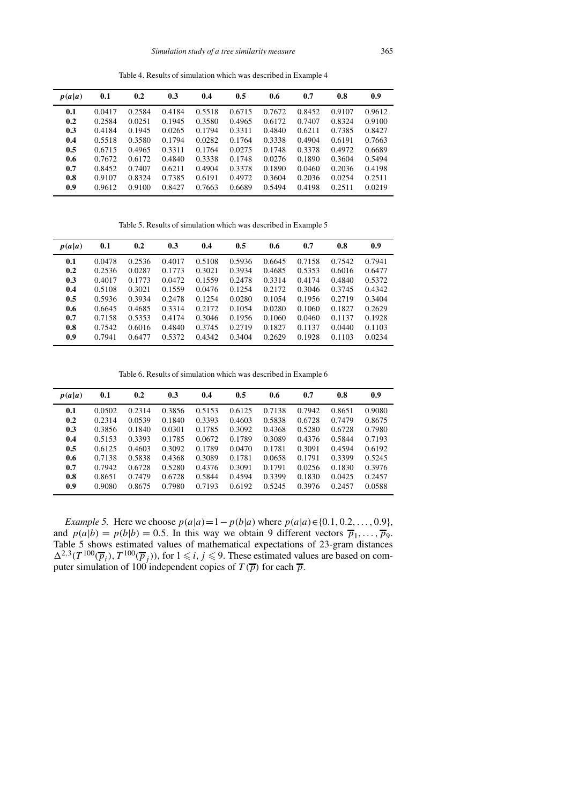Table 4. Results of simulation which was described in Example 4

| p(a a) | 0.1    | 0.2    | 0.3    | 0.4    | 0.5    | 0.6    | 0.7    | 0.8    | 0.9    |
|--------|--------|--------|--------|--------|--------|--------|--------|--------|--------|
| 0.1    | 0.0417 | 0.2584 | 0.4184 | 0.5518 | 0.6715 | 0.7672 | 0.8452 | 0.9107 | 0.9612 |
| 0.2    | 0.2584 | 0.0251 | 0.1945 | 0.3580 | 0.4965 | 0.6172 | 0.7407 | 0.8324 | 0.9100 |
| 0.3    | 0.4184 | 0.1945 | 0.0265 | 0.1794 | 0.3311 | 0.4840 | 0.6211 | 0.7385 | 0.8427 |
| 0.4    | 0.5518 | 0.3580 | 0.1794 | 0.0282 | 0.1764 | 0.3338 | 0.4904 | 0.6191 | 0.7663 |
| 0.5    | 0.6715 | 0.4965 | 0.3311 | 0.1764 | 0.0275 | 0.1748 | 0.3378 | 0.4972 | 0.6689 |
| 0.6    | 0.7672 | 0.6172 | 0.4840 | 0.3338 | 0.1748 | 0.0276 | 0.1890 | 0.3604 | 0.5494 |
| 0.7    | 0.8452 | 0.7407 | 0.6211 | 0.4904 | 0.3378 | 0.1890 | 0.0460 | 0.2036 | 0.4198 |
| 0.8    | 0.9107 | 0.8324 | 0.7385 | 0.6191 | 0.4972 | 0.3604 | 0.2036 | 0.0254 | 0.2511 |
| 0.9    | 0.9612 | 0.9100 | 0.8427 | 0.7663 | 0.6689 | 0.5494 | 0.4198 | 0.2511 | 0.0219 |

Table 5. Results of simulation which was described in Example 5

| p(a a) | 0.1    | 0.2    | 0.3    | 0.4    | 0.5    | 0.6    | 0.7    | 0.8    | 0.9    |
|--------|--------|--------|--------|--------|--------|--------|--------|--------|--------|
| 0.1    | 0.0478 | 0.2536 | 0.4017 | 0.5108 | 0.5936 | 0.6645 | 0.7158 | 0.7542 | 0.7941 |
| 0.2    | 0.2536 | 0.0287 | 0.1773 | 0.3021 | 0.3934 | 0.4685 | 0.5353 | 0.6016 | 0.6477 |
| 0.3    | 0.4017 | 0.1773 | 0.0472 | 0.1559 | 0.2478 | 0.3314 | 0.4174 | 0.4840 | 0.5372 |
| 0.4    | 0.5108 | 0.3021 | 0.1559 | 0.0476 | 0.1254 | 0.2172 | 0.3046 | 0.3745 | 0.4342 |
| 0.5    | 0.5936 | 0.3934 | 0.2478 | 0.1254 | 0.0280 | 0.1054 | 0.1956 | 0.2719 | 0.3404 |
| 0.6    | 0.6645 | 0.4685 | 0.3314 | 0.2172 | 0.1054 | 0.0280 | 0.1060 | 0.1827 | 0.2629 |
| 0.7    | 0.7158 | 0.5353 | 0.4174 | 0.3046 | 0.1956 | 0.1060 | 0.0460 | 0.1137 | 0.1928 |
| 0.8    | 0.7542 | 0.6016 | 0.4840 | 0.3745 | 0.2719 | 0.1827 | 0.1137 | 0.0440 | 0.1103 |
| 0.9    | 0.7941 | 0.6477 | 0.5372 | 0.4342 | 0.3404 | 0.2629 | 0.1928 | 0.1103 | 0.0234 |

Table 6. Results of simulation which was described in Example 6

| p(a a) | 0.1    | 0.2    | 0.3    | 0.4    | 0.5    | 0.6    | 0.7    | 0.8    | 0.9    |
|--------|--------|--------|--------|--------|--------|--------|--------|--------|--------|
| 0.1    | 0.0502 | 0.2314 | 0.3856 | 0.5153 | 0.6125 | 0.7138 | 0.7942 | 0.8651 | 0.9080 |
| 0.2    | 0.2314 | 0.0539 | 0.1840 | 0.3393 | 0.4603 | 0.5838 | 0.6728 | 0.7479 | 0.8675 |
| 0.3    | 0.3856 | 0.1840 | 0.0301 | 0.1785 | 0.3092 | 0.4368 | 0.5280 | 0.6728 | 0.7980 |
| 0.4    | 0.5153 | 0.3393 | 0.1785 | 0.0672 | 0.1789 | 0.3089 | 0.4376 | 0.5844 | 0.7193 |
| 0.5    | 0.6125 | 0.4603 | 0.3092 | 0.1789 | 0.0470 | 0.1781 | 0.3091 | 0.4594 | 0.6192 |
| 0.6    | 0.7138 | 0.5838 | 0.4368 | 0.3089 | 0.1781 | 0.0658 | 0.1791 | 0.3399 | 0.5245 |
| 0.7    | 0.7942 | 0.6728 | 0.5280 | 0.4376 | 0.3091 | 0.1791 | 0.0256 | 0.1830 | 0.3976 |
| 0.8    | 0.8651 | 0.7479 | 0.6728 | 0.5844 | 0.4594 | 0.3399 | 0.1830 | 0.0425 | 0.2457 |
| 0.9    | 0.9080 | 0.8675 | 0.7980 | 0.7193 | 0.6192 | 0.5245 | 0.3976 | 0.2457 | 0.0588 |

*Example 5.* Here we choose  $p(a|a) = 1 - p(b|a)$  where  $p(a|a) \in \{0.1, 0.2, ..., 0.9\}$ , and  $p(a|b) = p(b|b) = 0.5$ . In this way we obtain 9 different vectors  $\overline{p}_1, \ldots, \overline{p}_9$ . Table 5 shows estimated values of mathematical expectations of 23-gram distances  $\Delta^{2,3}(T^{100}(\overline{p}_i), T^{100}(\overline{p}_j))$ , for  $1 \leq i, j \leq 9$ . These estimated values are based on computer simulation of 100 independent copies of  $T(\overline{p})$  for each  $\overline{p}$ .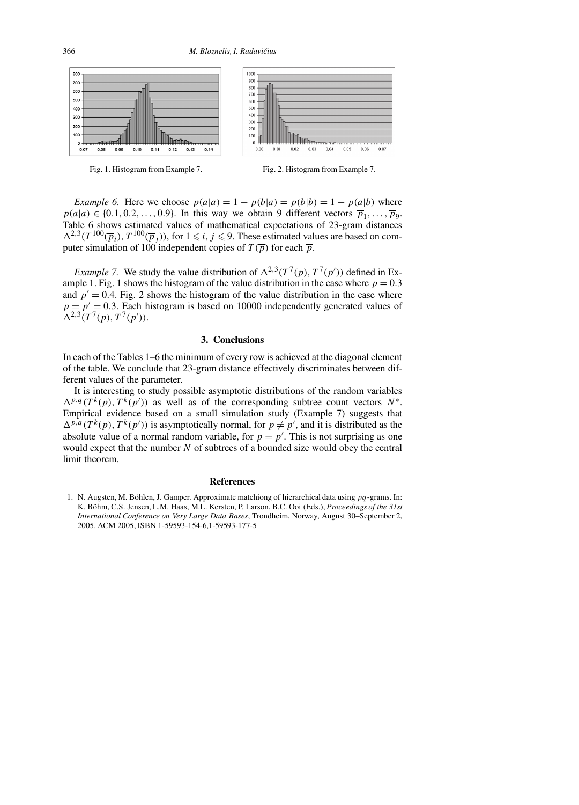





*Example 6.* Here we choose  $p(a|a) = 1 - p(b|a) = p(b|b) = 1 - p(a|b)$  where  $p(a|a) \in \{0.1, 0.2, \ldots, 0.9\}$ . In this way we obtain 9 different vectors  $\overline{p}_1, \ldots, \overline{p}_9$ . Table 6 shows estimated values of mathematical expectations of 23-gram distances  $\Delta^{2,3}(T^{100}(\overline{p}_i), T^{100}(\overline{p}_j))$ , for  $1 \leq i, j \leq 9$ . These estimated values are based on computer simulation of 100 independent copies of  $T(\overline{p})$  for each  $\overline{p}$ .

*Example 7.* We study the value distribution of  $\Delta^{2,3}(T^7(p), T^7(p'))$  defined in Example 1. Fig. 1 shows the histogram of the value distribution in the case where  $p = 0.3$ and  $p' = 0.4$ . Fig. 2 shows the histogram of the value distribution in the case where  $p = p' = 0.3$ . Each histogram is based on 10000 independently generated values of  $\Delta^{2,3}(T^7(p), T^7(p')).$ 

#### **3. Conclusions**

In each of the Tables 1–6 the minimum of every row is achieved at the diagonal element of the table. We conclude that 23-gram distance effectively discriminates between different values of the parameter.

It is interesting to study possible asymptotic distributions of the random variables  $\Delta^{p,q}(T^k(p), T^k(p'))$  as well as of the corresponding subtree count vectors *N*<sup>∗</sup>. Empirical evidence based on a small simulation study (Example 7) suggests that  $\Delta^{p,q}(T^k(p), T^k(p'))$  is asymptotically normal, for  $p \neq p'$ , and it is distributed as the absolute value of a normal random variable, for  $p = p'$ . This is not surprising as one would expect that the number *N* of subtrees of a bounded size would obey the central limit theorem.

### **References**

1. N. Augsten, M. Böhlen, J. Gamper. Approximate matchiong of hierarchical data using *pq*-grams. In: K. Böhm, C.S. Jensen, L.M. Haas, M.L. Kersten, P. Larson, B.C. Ooi (Eds.), *Proceedings of the 31st International Conference on Very Large Data Bases*, Trondheim, Norway, August 30–September 2, 2005. ACM 2005, ISBN 1-59593-154-6,1-59593-177-5